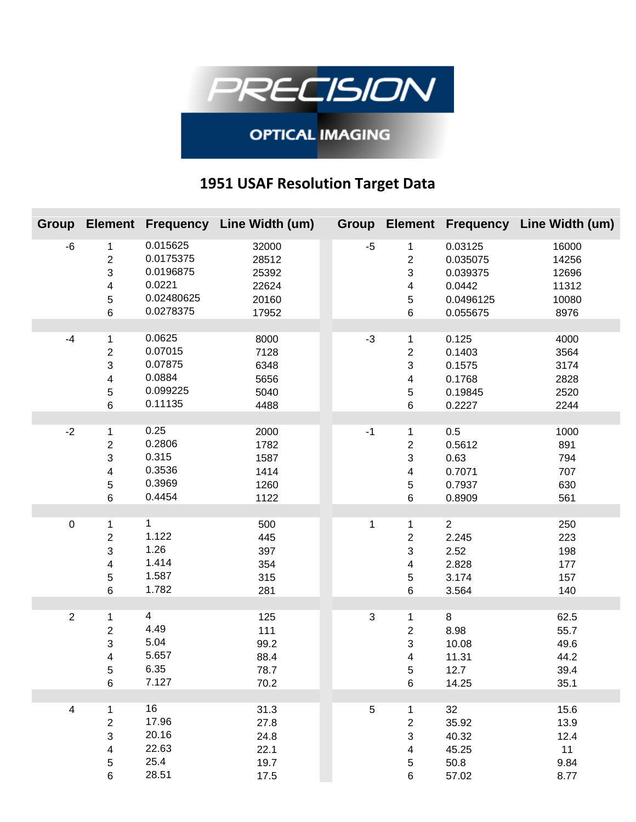

## **OPTICAL IMAGING**

## **1951 USAF Resolution Target Data**

|                         |                                                                            |                                                                         | Group Element Frequency Line Width (um)            |                           |                                                                   |                                                                    | Group Element Frequency Line Width (um)           |
|-------------------------|----------------------------------------------------------------------------|-------------------------------------------------------------------------|----------------------------------------------------|---------------------------|-------------------------------------------------------------------|--------------------------------------------------------------------|---------------------------------------------------|
| $-6$                    | 1<br>$\overline{c}$<br>3<br>4<br>5<br>$\,6$                                | 0.015625<br>0.0175375<br>0.0196875<br>0.0221<br>0.02480625<br>0.0278375 | 32000<br>28512<br>25392<br>22624<br>20160<br>17952 | $-5$                      | 1<br>$\overline{2}$<br>3<br>4<br>$\,$ 5 $\,$<br>$\,6\,$           | 0.03125<br>0.035075<br>0.039375<br>0.0442<br>0.0496125<br>0.055675 | 16000<br>14256<br>12696<br>11312<br>10080<br>8976 |
| $-4$                    | 1<br>$\overline{\mathbf{c}}$<br>3<br>4<br>5<br>$\,6$                       | 0.0625<br>0.07015<br>0.07875<br>0.0884<br>0.099225<br>0.11135           | 8000<br>7128<br>6348<br>5656<br>5040<br>4488       | $-3$                      | 1<br>$\overline{c}$<br>3<br>4<br>$\,$ 5 $\,$<br>6                 | 0.125<br>0.1403<br>0.1575<br>0.1768<br>0.19845<br>0.2227           | 4000<br>3564<br>3174<br>2828<br>2520<br>2244      |
| $-2$                    | 1<br>$\overline{2}$<br>3<br>4<br>5<br>$\,6$                                | 0.25<br>0.2806<br>0.315<br>0.3536<br>0.3969<br>0.4454                   | 2000<br>1782<br>1587<br>1414<br>1260<br>1122       | $-1$                      | $\mathbf 1$<br>$\overline{2}$<br>3<br>4<br>$\,$ 5 $\,$<br>$\,6\,$ | 0.5<br>0.5612<br>0.63<br>0.7071<br>0.7937<br>0.8909                | 1000<br>891<br>794<br>707<br>630<br>561           |
| 0                       | 1<br>$\overline{\mathbf{c}}$<br>3<br>4<br>5<br>6                           | $\mathbf{1}$<br>1.122<br>1.26<br>1.414<br>1.587<br>1.782                | 500<br>445<br>397<br>354<br>315<br>281             | 1                         | $\mathbf 1$<br>$\boldsymbol{2}$<br>3<br>4<br>5<br>$\,6\,$         | $\overline{2}$<br>2.245<br>2.52<br>2.828<br>3.174<br>3.564         | 250<br>223<br>198<br>177<br>157<br>140            |
| $\overline{2}$          | 1<br>$\overline{\mathbf{c}}$<br>3<br>4<br>5<br>$\,6$                       | 4<br>4.49<br>5.04<br>5.657<br>6.35<br>7.127                             | 125<br>111<br>99.2<br>88.4<br>78.7<br>70.2         | $\ensuremath{\mathsf{3}}$ | $\mathbf 1$<br>$\overline{\mathbf{c}}$<br>3<br>4<br>5<br>6        | 8<br>8.98<br>10.08<br>11.31<br>12.7<br>14.25                       | 62.5<br>55.7<br>49.6<br>44.2<br>39.4<br>35.1      |
| $\overline{\mathbf{4}}$ | 1<br>$\overline{c}$<br>3<br>$\overline{\mathbf{4}}$<br>$\sqrt{5}$<br>$\,6$ | 16<br>17.96<br>20.16<br>22.63<br>25.4<br>28.51                          | 31.3<br>27.8<br>24.8<br>22.1<br>19.7<br>17.5       | $\sqrt{5}$                | $\mathbf{1}$<br>$\overline{c}$<br>3<br>4<br>5<br>6                | 32<br>35.92<br>40.32<br>45.25<br>50.8<br>57.02                     | 15.6<br>13.9<br>12.4<br>11<br>9.84<br>8.77        |